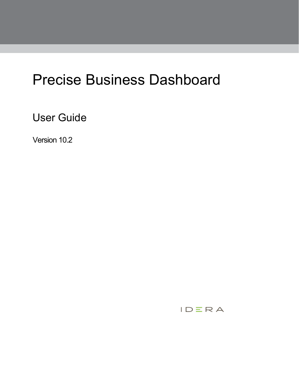## Precise Business Dashboard

User Guide

Version 10.2

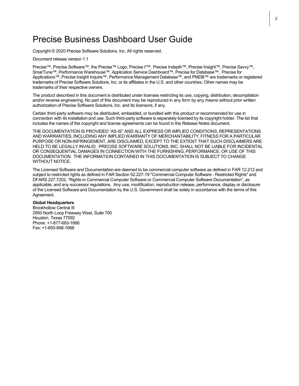#### Precise Business Dashboard User Guide

Copyright © 2020 Precise Software Solutions, Inc. All rights reserved.

Document release version 1.1

Precise™, Precise Software™, the Precise™ Logo, Precise i<sup>3™</sup>, Precise Indepth™, Precise Insight™, Precise Savvy™, SmarTune™, Performance Warehouse™, Application Service Dashboard™, Precise for Database™, Precise for Applications™, Precise Insight Inquire™, Performance Management Database™, and PMDB™ are trademarks or registered trademarks of Precise Software Solutions, Inc. or its affiliates in the U.S. and other countries. Other names may be trademarks of their respective owners.

The product described in this document is distributed under licenses restricting its use, copying, distribution, decompilation and/or reverse engineering. No part of this document may be reproduced in any form by any means without prior written authorization of Precise Software Solutions, Inc. and its licensors, if any.

Certain third-party software may be distributed, embedded, or bundled with this product or recommended for use in connection with its installation and use. Such third-party software is separately licensed by its copyright holder. The list that includes the names of the copyright and license agreements can be found in the Release Notes document.

THE DOCUMENTATION IS PROVIDED "AS-IS" AND ALL EXPRESS OR IMPLIED CONDITIONS, REPRESENTATIONS AND WARRANTIES, INCLUDING ANY IMPLIED WARRANTY OF MERCHANTABILITY, FITNESS FOR A PARTICULAR PURPOSE OR NON-INFRINGEMENT, ARE DISCLAIMED, EXCEPT TO THE EXTENT THAT SUCH DISCLAIMERS ARE HELD TO BE LEGALLY INVALID. PRECISE SOFTWARE SOLUTIONS, INC. SHALL NOT BE LIABLE FOR INCIDENTAL OR CONSEQUENTIAL DAMAGES IN CONNECTION WITH THE FURNISHING, PERFORMANCE, OR USE OF THIS DOCUMENTATION. THE INFORMATION CONTAINED IN THIS DOCUMENTATION IS SUBJECT TO CHANGE WITHOUT NOTICE.

The Licensed Software and Documentation are deemed to be commercial computer software as defined in FAR 12.212 and subject to restricted rights as defined in FAR Section 52.227-19 "Commercial Computer Software - Restricted Rights" and DFARS 227.7202, "Rights in Commercial Computer Software or Commercial Computer Software Documentation", as applicable, and any successor regulations. Any use, modification, reproduction release, performance, display or disclosure of the Licensed Software and Documentation by the U.S. Government shall be solely in accordance with the terms of this Agreement.

#### **Global Headquarters**

Brookhollow Central III 2950 North Loop Freeway West, Suite 700 Houston, Texas 77092 Phone: +1-877-693-1886 Fax: +1-650-898-1666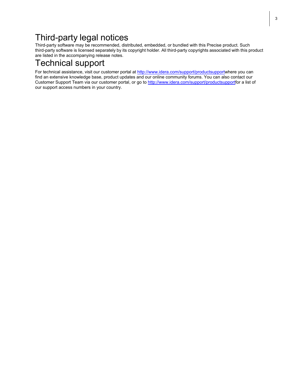## Third-party legal notices

Third-party software may be recommended, distributed, embedded, or bundled with this Precise product. Such third-party software is licensed separately by its copyright holder. All third-party copyrights associated with this product are listed in the accompanying release notes.

## Technical support

For technical assistance, visit our customer portal at [http://www.idera.com/support/productsupportw](http://www.idera.com/support/productsupport)here you can find an extensive knowledge base, product updates and our online community forums. You can also contact our Customer Support Team via our customer portal, or go to [http://www.idera.com/support/productsupportf](http://www.idera.com/support/productsupport)or a list of our support access numbers in your country.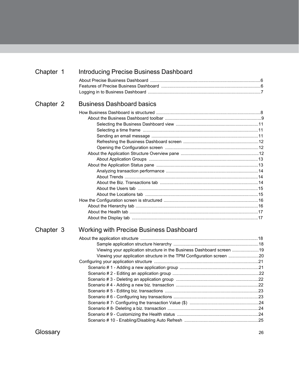| Chapter 1 | Introducing Precise Business Dashboard                                 |  |
|-----------|------------------------------------------------------------------------|--|
|           |                                                                        |  |
|           |                                                                        |  |
|           |                                                                        |  |
| Chapter 2 | <b>Business Dashboard basics</b>                                       |  |
|           |                                                                        |  |
|           |                                                                        |  |
|           |                                                                        |  |
|           |                                                                        |  |
|           |                                                                        |  |
|           |                                                                        |  |
|           |                                                                        |  |
|           |                                                                        |  |
|           |                                                                        |  |
|           |                                                                        |  |
|           |                                                                        |  |
|           |                                                                        |  |
|           |                                                                        |  |
|           |                                                                        |  |
|           |                                                                        |  |
|           |                                                                        |  |
|           |                                                                        |  |
|           |                                                                        |  |
|           |                                                                        |  |
| Chapter 3 | <b>Working with Precise Business Dashboard</b>                         |  |
|           |                                                                        |  |
|           |                                                                        |  |
|           | Viewing your application structure in the Business Dashboard screen 19 |  |
|           | Viewing your application structure in the TPM Configuration screen 20  |  |
|           |                                                                        |  |
|           |                                                                        |  |
|           |                                                                        |  |
|           |                                                                        |  |
|           | Scenario # 4 - Adding a new biz. transaction ……………………………………………………………22 |  |
|           |                                                                        |  |
|           |                                                                        |  |
|           |                                                                        |  |
|           |                                                                        |  |
|           |                                                                        |  |
|           |                                                                        |  |

Glossary 26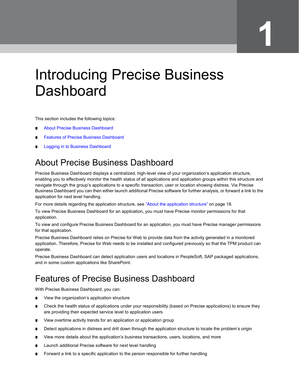# **1**

# Introducing Precise Business **Dashboard**

This section includes the following topics:

- **About Precise Business Dashboard**
- **Features of Precise Business Dashboard**
- **Logging in to Business Dashboard**

## About Precise Business Dashboard

Precise Business Dashboard displays a centralized, high-level view of your organization's application structure, enabling you to effectively monitor the health status of all applications and application groups within this structure and navigate through the group's applications to a specific transaction, user or location showing distress. Via Precise Business Dashboard you can then either launch additional Precise software for further analysis, or forward a link to the application for next level handling.

For more details regarding the application structure, see "About the application structure" on page 18.

To view Precise Business Dashboard for an application, you must have Precise monitor permissions for that application.

To view and configure Precise Business Dashboard for an application, you must have Precise manager permissions for that application.

Precise Business Dashboard relies on Precise for Web to provide data from the activity generated in a monitored application. Therefore, Precise for Web needs to be installed and configured previously so that the TPM product can operate.

Precise Business Dashboard can detect application users and locations in PeopleSoft, SAP packaged applications, and in some custom applications like SharePoint.

## Features of Precise Business Dashboard

With Precise Business Dashboard, you can:

- View the organization's application structure
- Check the health status of applications under your responsibility (based on Precise applications) to ensure they are providing their expected service level to application users
- View overtime activity trends for an application or application group
- Detect applications in distress and drill down through the application structure to locate the problem's origin
- View more details about the application's business transactions, users, locations, and more
- Launch additional Precise software for next level handling
- Forward a link to a specific application to the person responsible for further handling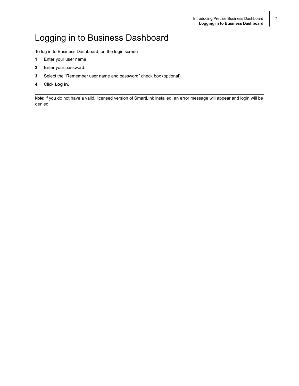## Logging in to Business Dashboard

To log in to Business Dashboard, on the login screen

- **1** Enter your user name.
- **2** Enter your password.
- **3** Select the "Remember user name and password" check box (optional).
- **4** Click **Log in**.

**Note:** If you do not have a valid, licensed version of SmartLink installed, an error message will appear and login will be denied.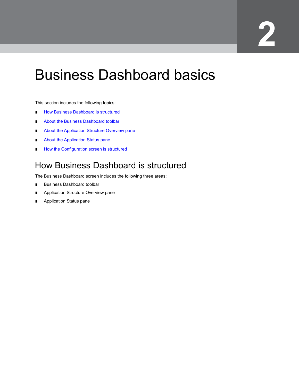# **2**

# Business Dashboard basics

This section includes the following topics:

- How Business Dashboard is structured
- About the Business Dashboard toolbar
- About the Application Structure Overview pane
- About the Application Status pane
- How the Configuration screen is structured

### How Business Dashboard is structured

The Business Dashboard screen includes the following three areas:

- Business Dashboard toolbar
- Application Structure Overview pane
- Application Status pane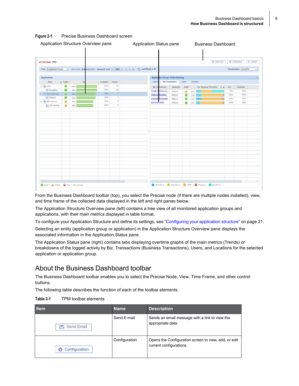| View: All Application Groups |          |                                                                      |              |                  |                          |                          |                                          |        |           |                          |                |            | Configuration              | Refresh      |
|------------------------------|----------|----------------------------------------------------------------------|--------------|------------------|--------------------------|--------------------------|------------------------------------------|--------|-----------|--------------------------|----------------|------------|----------------------------|--------------|
|                              |          | V Time Frame: 29-Aug-12 16:27 - 29-Aug-12 16:46 [11] 20m 8h 1d 2w 5w |              |                  | Auto Refresh is Off      |                          |                                          |        |           |                          |                |            | Precise System: vm-sc85-i3 | $\checkmark$ |
| <b>Applications</b>          |          |                                                                      |              |                  |                          |                          | <b>Application Group: Online Banking</b> |        |           |                          |                |            |                            | $[33]$       |
| Name                         | A Health | S                                                                    | Availability | Volume           | Tranda                   | <b>Biz. Transactions</b> |                                          | Users  | Locations |                          |                |            |                            |              |
| 日号 HMS                       | ø        | 98%                                                                  | 100%         | 133              | <b>Biz.</b> Tramsactions |                          | Application                              | Health |           | Avg. Response Time (Sec) | $\mathbb{H}$ 4 | <b>SLA</b> | Availability               |              |
| PeopleSult                   | s.       | 98%                                                                  | 100%         | $+33$            | Foreign C                | irrency Ex.              | <b>SPBank</b>                            | A      | 2.57      |                          |                | 75%        | 100%                       |              |
| Online Banking               | ø        | $02\%$                                                               | 100%         | $\boldsymbol{7}$ | Trade C                  | kmations                 | SPBank                                   | E.     | 3.82      |                          |                | 100%       | 100%                       |              |
| SPBank                       | ø        | 92%                                                                  | 100%         | 7.               | Investing Transaction    |                          | SPBank                                   | o.     | 3.86      |                          |                | 100%       | 100%                       |              |
| B SAP Finance                | Δ        | 80%                                                                  | 100%         | $\leq$           | Loan Submission          |                          | SPBank                                   | ø      | 8.07      |                          |                | 100%       | 100%                       |              |
| SAP banking                  | Δ        | 80%                                                                  | 100%         | $5$              |                          |                          |                                          |        |           |                          |                |            |                            |              |
|                              |          |                                                                      |              |                  |                          |                          |                                          |        |           |                          |                |            |                            |              |
|                              |          |                                                                      |              |                  |                          |                          |                                          |        |           |                          |                |            |                            |              |
|                              |          |                                                                      |              |                  |                          |                          |                                          |        |           |                          |                |            |                            |              |
|                              |          |                                                                      |              |                  |                          |                          |                                          |        |           |                          |                |            |                            |              |
|                              |          |                                                                      |              |                  |                          |                          |                                          |        |           |                          |                |            |                            |              |
|                              |          |                                                                      |              |                  |                          |                          |                                          |        |           |                          |                |            |                            |              |
|                              |          |                                                                      |              |                  |                          |                          |                                          |        |           |                          |                |            |                            |              |
|                              |          |                                                                      |              |                  |                          |                          |                                          |        |           |                          |                |            |                            |              |
|                              |          |                                                                      |              |                  |                          |                          |                                          |        |           |                          |                |            |                            |              |

#### **Figure 2-1** Precise Business Dashboard screen

From the Business Dashboard toolbar (top), you select the Precise node (if there are multiple nodes installed), view, and time frame of the collected data displayed in the left and right panes below.

The Application Structure Overview pane (left) contains a tree view of all monitored application groups and applications, with their main metrics displayed in table format.

To configure your Application Structure and define its settings, see "Configuring your application structure" on page 21.

Selecting an entity (application group or application) in the Application Structure Overview pane displays the associated information in the Application Status pane.

The Application Status pane (right) contains tabs displaying overtime graphs of the main metrics (Trends) or breakdowns of the logged activity by Biz. Transactions (Business Transactions), Users, and Locations for the selected application or application group.

#### About the Business Dashboard toolbar

The Business Dashboard toolbar enables you to select the Precise Node, View, Time Frame, and other control buttons.

The following table describes the function of each of the toolbar elements.

|  | Table 2-1 | TPM toolbar elements |
|--|-----------|----------------------|
|--|-----------|----------------------|

| <b>Item</b>   | <b>Name</b>   | <b>Description</b>                                                              |
|---------------|---------------|---------------------------------------------------------------------------------|
| Send Email    | Send E-mail   | Sends an email message with a link to view the<br>appropriate data.             |
| Configuration | Configuration | Opens the Configuration screen to view, add, or edit<br>current configurations. |

9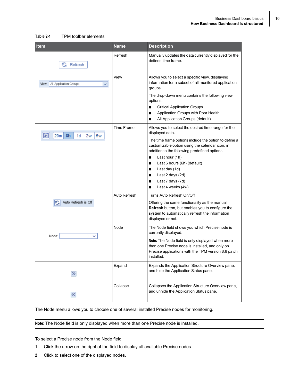| <b>Item</b>                                     | <b>Name</b>       | <b>Description</b>                                                                                                                                                                                                                                                                                                                                                                |
|-------------------------------------------------|-------------------|-----------------------------------------------------------------------------------------------------------------------------------------------------------------------------------------------------------------------------------------------------------------------------------------------------------------------------------------------------------------------------------|
| Refresh                                         | Refresh           | Manually updates the data currently displayed for the<br>defined time frame.                                                                                                                                                                                                                                                                                                      |
| All Application Groups<br>View:<br>$\checkmark$ | View              | Allows you to select a specific view, displaying<br>information for a subset of all monitored application<br>groups.<br>The drop-down menu contains the following view<br>options:<br><b>Critical Application Groups</b><br>п<br>Application Groups with Poor Health<br>All Application Groups (default)                                                                          |
| $\overline{31}$<br>8h<br>1d<br>2w<br>5w<br>20ml | <b>Time Frame</b> | Allows you to select the desired time range for the<br>displayed data.<br>The time frame options include the option to define a<br>customizable option using the calendar icon, in<br>addition to the following predefined options:<br>Last hour (1h)<br>Last 6 hours (6h) (default)<br>Last day (1d)<br>Last 2 days (2d)<br>п<br>Last 7 days (7d)<br>п<br>Last 4 weeks (4w)<br>п |
| Auto Refresh is Off                             | Auto Refresh      | Turns Auto Refresh On/Off<br>Offering the same functionality as the manual<br>Refresh button, but enables you to configure the<br>system to automatically refresh the information<br>displayed or not.                                                                                                                                                                            |
| Node:                                           | Node              | The Node field shows you which Precise node is<br>currently displayed.<br>Note: The Node field is only displayed when more<br>than one Precise node is installed, and only on<br>Precise applications with the TPM version 8.8 patch<br>installed.                                                                                                                                |
| $\gg$                                           | Expand            | Expands the Application Structure Overview pane,<br>and hide the Application Status pane.                                                                                                                                                                                                                                                                                         |
| $\ll$                                           | Collapse          | Collapses the Application Structure Overview pane,<br>and unhide the Application Status pane.                                                                                                                                                                                                                                                                                     |

#### **Table 2-1** TPM toolbar elements

The Node menu allows you to choose one of several installed Precise nodes for monitoring.

**Note:** The Node field is only displayed when more than one Precise node is installed.

To select a Precise node from the Node field

- **1** Click the arrow on the right of the field to display all available Precise nodes.
- **2** Click to select one of the displayed nodes.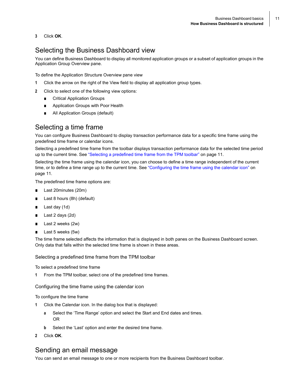**3** Click **OK**.

#### Selecting the Business Dashboard view

You can define Business Dashboard to display all monitored application groups or a subset of application groups in the Application Group Overview pane.

To define the Application Structure Overview pane view

- **1** Click the arrow on the right of the View field to display all application group types.
- **2** Click to select one of the following view options:
	- Critical Application Groups
	- Application Groups with Poor Health
	- All Application Groups (default)

#### Selecting a time frame

You can configure Business Dashboard to display transaction performance data for a specific time frame using the predefined time frame or calendar icons.

Selecting a predefined time frame from the toolbar displays transaction performance data for the selected time period up to the current time. See "Selecting a predefined time frame from the TPM toolbar" on page 11.

Selecting the time frame using the calendar icon, you can choose to define a time range independent of the current time, or to define a time range up to the current time. See "Configuring the time frame using the calendar icon" on page 11.

The predefined time frame options are:

- Last 20minutes (20m)
- Last 8 hours (8h) (default)
- Last day (1d)
- Last 2 days (2d)
- Last 2 weeks (2w)
- Last 5 weeks (5w)

The time frame selected affects the information that is displayed in both panes on the Business Dashboard screen. Only data that falls within the selected time frame is shown in these areas.

#### Selecting a predefined time frame from the TPM toolbar

To select a predefined time frame

**1** From the TPM toolbar, select one of the predefined time frames.

Configuring the time frame using the calendar icon

#### To configure the time frame

- **1** Click the Calendar icon. In the dialog box that is displayed:
	- **a** Select the 'Time Range' option and select the Start and End dates and times. OR
	- **b** Select the 'Last' option and enter the desired time frame.
- **2** Click **OK**.

#### Sending an email message

You can send an email message to one or more recipients from the Business Dashboard toolbar.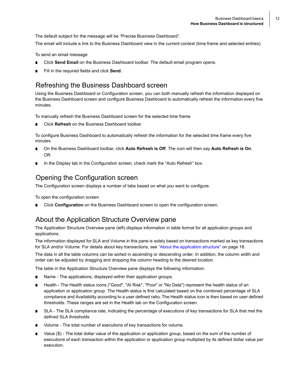The default subject for the message will be "Precise Business Dashboard".

The email will include a link to the Business Dashboard view in the current context (time frame and selected entries).

To send an email message

- Click **Send Email** on the Business Dashboard toolbar. The default email program opens.
- Fill in the required fields and click **Send**.

#### Refreshing the Business Dashboard screen

Using the Business Dashboard or Configuration screen, you can both manually refresh the information displayed on the Business Dashboard screen and configure Business Dashboard to automatically refresh the information every five minutes.

To manually refresh the Business Dashboard screen for the selected time frame

Click **Refresh** on the Business Dashboard toolbar.

To configure Business Dashboard to automatically refresh the information for the selected time frame every five minutes

- On the Business Dashboard toolbar, click **Auto Refresh is Off**. The icon will then say **Auto Refresh is On**. OR
- In the Display tab in the Configuration screen, check mark the "Auto Refresh" box.

#### Opening the Configuration screen

The Configuration screen displays a number of tabs based on what you want to configure.

To open the configuration screen

■ Click **Configuration** on the Business Dashboard screen to open the configuration screen.

#### About the Application Structure Overview pane

The Application Structure Overview pane (left) displays information in table format for all application groups and applications.

The information displayed for SLA and Volume in this pane is solely based on transactions marked as key transactions for SLA and/or Volume. For details about key transactions, see "About the application structure" on page 18.

The data in all the table columns can be sorted in ascending or descending order. In addition, the column width and order can be adjusted by dragging and dropping the column heading to the desired location.

The table in the Application Structure Overview pane displays the following information:

- Name The applications, displayed within their application groups.
- Health The Health status icons ("Good", "At Risk", "Poor" or "No Data") represent the health status of an application or application group. The Health status is first calculated based on the combined percentage of SLA compliance and Availability according to a user defined ratio. The Health status icon is then based on user defined thresholds. These ranges are set in the Health tab on the Configuration screen.
- SLA The SLA compliance rate, indicating the percentage of executions of key transactions for SLA that met the defined SLA thresholds
- Volume The total number of executions of key transactions for volume.
- Value (\$) The total dollar value of the application or application group, based on the sum of the number of executions of each transaction within the application or application group multiplied by its defined dollar value per execution.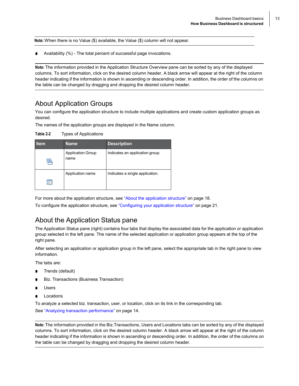**Note:** When there is no Value (\$) available, the Value (\$) column will not appear.

Availability (%) - The total percent of successful page invocations.

**Note:** The information provided in the Application Structure Overview pane can be sorted by any of the displayed columns. To sort information, click on the desired column header. A black arrow will appear at the right of the column header indicating if the information is shown in ascending or descending order. In addition, the order of the columns on the table can be changed by dragging and dropping the desired column header.

#### About Application Groups

You can configure the application structure to include multiple applications and create custom application groups as desired.

The names of the application groups are displayed in the Name column.

| <b>Item</b> | <b>Name</b>                      | <b>Description</b>              |
|-------------|----------------------------------|---------------------------------|
|             | <b>Application Group</b><br>name | Indicates an application group. |
| EF-         | Application name                 | Indicates a single application. |

**Table 2-2** Types of Applications

For more about the application structure, see "About the application structure" on page 18.

To configure the application structure, see "Configuring your application structure" on page 21.

#### About the Application Status pane

The Application Status pane (right) contains four tabs that display the associated data for the application or application group selected in the left pane. The name of the selected application or application group appears at the top of the right pane.

After selecting an application or application group in the left pane, select the appropriate tab in the right pane to view information.

The tabs are:

- Trends (default)
- Biz. Transactions (Business Transaction)
- **Users**
- **Locations**

To analyze a selected biz. transaction, user, or location, click on its link in the corresponding tab.

See "Analyzing transaction performance" on page 14.

**Note:** The information provided in the Biz.Transactions, Users and Locations tabs can be sorted by any of the displayed columns. To sort information, click on the desired column header. A black arrow will appear at the right of the column header indicating if the information is shown in ascending or descending order. In addition, the order of the columns on the table can be changed by dragging and dropping the desired column header.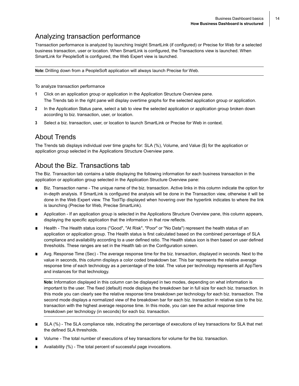#### Analyzing transaction performance

Transaction performance is analyzed by launching Insight SmartLink (if configured) or Precise for Web for a selected business transaction, user or location. When SmartLink is configured, the Transactions view is launched. When SmartLink for PeopleSoft is configured, the Web Expert view is launched.

**Note:** Drilling down from a PeopleSoft application will always launch Precise for Web.

To analyze transaction performance

- **1** Click on an application group or application in the Application Structure Overview pane. The Trends tab in the right pane will display overtime graphs for the selected application group or application.
- **2** In the Application Status pane, select a tab to view the selected application or application group broken down according to biz. transaction, user, or location.
- **3** Select a biz. transaction, user, or location to launch SmartLink or Precise for Web in context.

#### About Trends

The Trends tab displays individual over time graphs for: SLA (%), Volume, and Value (\$) for the application or application group selected in the Applications Structure Overview pane.

#### About the Biz. Transactions tab

The Biz. Transaction tab contains a table displaying the following information for each business transaction in the application or application group selected in the Application Structure Overview pane:

- Biz. Transaction name The unique name of the biz. transaction. Active links in this column indicate the option for in-depth analysis. If SmartLink is configured the analysis will be done in the Transaction view, otherwise it will be done in the Web Expert view. The ToolTip displayed when hovering over the hyperlink indicates to where the link is launching (Precise for Web, Precise SmartLink).
- Application If an application group is selected in the Applications Structure Overview pane, this column appears, displaying the specific application that the information in that row reflects.
- Health The Health status icons ("Good", "At Risk", "Poor" or "No Data") represent the health status of an application or application group. The Health status is first calculated based on the combined percentage of SLA compliance and availability according to a user defined ratio. The Health status icon is then based on user defined thresholds. These ranges are set in the Health tab on the Configuration screen.
- Avg. Response Time (Sec) The average response time for the biz. transaction, displayed in seconds. Next to the value in seconds, this column displays a color coded breakdown bar. This bar represents the relative average response time of each technology as a percentage of the total. The value per technology represents all AppTiers and instances for that technology.

**Note:** Information displayed in this column can be displayed in two modes, depending on what information is important to the user. The fixed (default) mode displays the breakdown bar in full size for each biz. transaction. In this mode you can clearly see the relative response time breakdown per technology for each biz. transaction. The second mode displays a normalized view of the breakdown bar for each biz. transaction in relative size to the biz. transaction with the highest average response time. In this mode, you can see the actual response time breakdown per technology (in seconds) for each biz. transaction.

- SLA (%) The SLA compliance rate, indicating the percentage of executions of key transactions for SLA that met the defined SLA thresholds.
- Volume The total number of executions of key transactions for volume for the biz. transaction.
- Availability (%) The total percent of successful page invocations.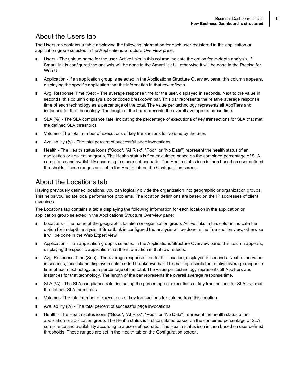#### About the Users tab

The Users tab contains a table displaying the following information for each user registered in the application or application group selected in the Applications Structure Overview pane:

- Users The unique name for the user. Active links in this column indicate the option for in-depth analysis. If SmartLink is configured the analysis will be done in the SmartLink UI, otherwise it will be done in the Precise for Web UI.
- Application If an application group is selected in the Applications Structure Overview pane, this column appears, displaying the specific application that the information in that row reflects.
- Avg. Response Time (Sec) The average response time for the user, displayed in seconds. Next to the value in seconds, this column displays a color coded breakdown bar. This bar represents the relative average response time of each technology as a percentage of the total. The value per technology represents all AppTiers and instances for that technology. The length of the bar represents the overall average response time.
- SLA (%) The SLA compliance rate, indicating the percentage of executions of key transactions for SLA that met the defined SLA thresholds
- Volume The total number of executions of key transactions for volume by the user.
- Availability (%) The total percent of successful page invocations.
- Health The Health status icons ("Good", "At Risk", "Poor" or "No Data") represent the health status of an application or application group. The Health status is first calculated based on the combined percentage of SLA compliance and availability according to a user defined ratio. The Health status icon is then based on user defined thresholds. These ranges are set in the Health tab on the Configuration screen.

#### About the Locations tab

Having previously defined locations, you can logically divide the organization into geographic or organization groups. This helps you isolate local performance problems. The location definitions are based on the IP addresses of client machines.

The Locations tab contains a table displaying the following information for each location in the application or application group selected in the Applications Structure Overview pane:

- Locations The name of the geographic location or organization group. Active links in this column indicate the option for in-depth analysis. If SmartLink is configured the analysis will be done in the Transaction view, otherwise it will be done in the Web Expert view.
- Application If an application group is selected in the Applications Structure Overview pane, this column appears, displaying the specific application that the information in that row reflects.
- Avg. Response Time (Sec) The average response time for the location, displayed in seconds. Next to the value in seconds, this column displays a color coded breakdown bar. This bar represents the relative average response time of each technology as a percentage of the total. The value per technology represents all AppTiers and instances for that technology. The length of the bar represents the overall average response time.
- SLA (%) The SLA compliance rate, indicating the percentage of executions of key transactions for SLA that met the defined SLA thresholds
- Volume The total number of executions of key transactions for volume from this location.
- Availability (%) The total percent of successful page invocations.
- Health The Health status icons ("Good", "At Risk", "Poor" or "No Data") represent the health status of an application or application group. The Health status is first calculated based on the combined percentage of SLA compliance and availability according to a user defined ratio. The Health status icon is then based on user defined thresholds. These ranges are set in the Health tab on the Configuration screen.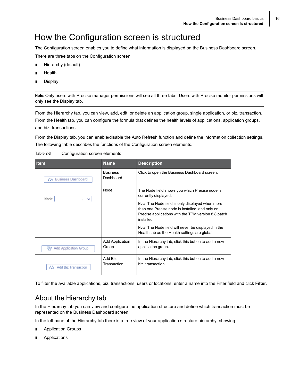## How the Configuration screen is structured

The Configuration screen enables you to define what information is displayed on the Business Dashboard screen.

There are three tabs on the Configuration screen:

- Hierarchy (default)
- **Health**
- Display

**Note:** Only users with Precise manager permissions will see all three tabs. Users with Precise monitor permissions will only see the Display tab.

From the Hierarchy tab, you can view, add, edit, or delete an application group, single application, or biz. transaction. From the Health tab, you can configure the formula that defines the health levels of applications, application groups, and biz. transactions.

From the Display tab, you can enable/disable the Auto Refresh function and define the information collection settings. The following table describes the functions of the Configuration screen elements.

| <b>Item</b>                         | <b>Name</b>                     | <b>Description</b>                                                                                                                                                       |
|-------------------------------------|---------------------------------|--------------------------------------------------------------------------------------------------------------------------------------------------------------------------|
| 7% Business Dashboard               | <b>Business</b><br>Dashboard    | Click to open the Business Dashboard screen.                                                                                                                             |
| Node:<br>v                          | Node                            | The Node field shows you which Precise node is<br>currently displayed.                                                                                                   |
|                                     |                                 | Note: The Node field is only displayed when more<br>than one Precise node is installed, and only on<br>Precise applications with the TPM version 8.8 patch<br>installed. |
|                                     |                                 | Note: The Node field will never be displayed in the<br>Health tab as the Health settings are global.                                                                     |
| <sup>금+</sup> Add Application Group | <b>Add Application</b><br>Group | In the Hierarchy tab, click this button to add a new<br>application group.                                                                                               |
| <b>Add Biz Transaction</b><br>m     | Add Biz.<br>Transaction         | In the Hierarchy tab, click this button to add a new<br>biz. transaction.                                                                                                |

**Table 2-3** Configuration screen elements

To filter the available applications, biz. transactions, users or locations, enter a name into the Filter field and click **Filter**.

#### About the Hierarchy tab

In the Hierarchy tab you can view and configure the application structure and define which transaction must be represented on the Business Dashboard screen.

In the left pane of the Hierarchy tab there is a tree view of your application structure hierarchy, showing:

- Application Groups
- **Applications**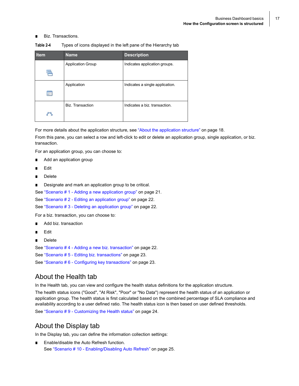#### Biz. Transactions.

| Table 2-4 |  |  | Types of icons displayed in the left pane of the Hierarchy tab |  |
|-----------|--|--|----------------------------------------------------------------|--|
|-----------|--|--|----------------------------------------------------------------|--|

| <b>Item</b> | <b>Name</b>              | <b>Description</b>              |
|-------------|--------------------------|---------------------------------|
|             | <b>Application Group</b> | Indicates application groups.   |
|             |                          |                                 |
|             | Application              | Indicates a single application. |
| EF-         |                          |                                 |
|             | <b>Biz. Transaction</b>  | Indicates a biz. transaction.   |
|             |                          |                                 |

For more details about the application structure, see "About the application structure" on page 18.

From this pane, you can select a row and left-click to edit or delete an application group, single application, or biz. transaction.

For an application group, you can choose to:

- Add an application group
- **Edit**
- Delete
- Designate and mark an application group to be critical.

See "Scenario # 1 - Adding a new application group" on page 21.

See "Scenario # 2 - Editing an application group" on page 22.

See "Scenario # 3 - Deleting an application group" on page 22.

For a biz. transaction, you can choose to:

- Add biz. transaction
- **Edit**
- Delete

See "Scenario # 4 - Adding a new biz. transaction" on page 22. See "Scenario # 5 - Editing biz. transactions" on page 23. See "Scenario # 6 - Configuring key transactions" on page 23.

#### About the Health tab

In the Health tab, you can view and configure the health status definitions for the application structure.

The health status icons ("Good", "At Risk", "Poor" or "No Data") represent the health status of an application or application group. The health status is first calculated based on the combined percentage of SLA compliance and availability according to a user defined ratio. The health status icon is then based on user defined thresholds. See "Scenario # 9 - Customizing the Health status" on page 24.

#### About the Display tab

In the Display tab, you can define the information collection settings:

Enable/disable the Auto Refresh function. See "Scenario # 10 - Enabling/Disabling Auto Refresh" on page 25.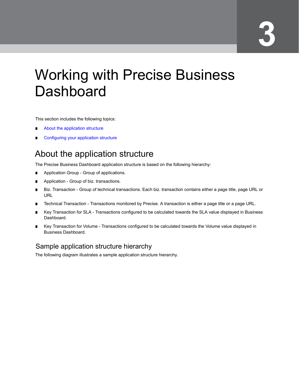# Working with Precise Business **Dashboard**

This section includes the following topics:

- About the application structure
- Configuring your application structure

## About the application structure

The Precise Business Dashboard application structure is based on the following hierarchy:

- Application Group Group of applications.
- Application Group of biz. transactions.
- Biz. Transaction Group of technical transactions. Each biz. transaction contains either a page title, page URL or URL
- Technical Transaction Transactions monitored by Precise. A transaction is either a page title or a page URL.
- Key Transaction for SLA Transactions configured to be calculated towards the SLA value displayed in Business Dashboard.
- Key Transaction for Volume Transactions configured to be calculated towards the Volume value displayed in Business Dashboard.

#### Sample application structure hierarchy

The following diagram illustrates a sample application structure hierarchy.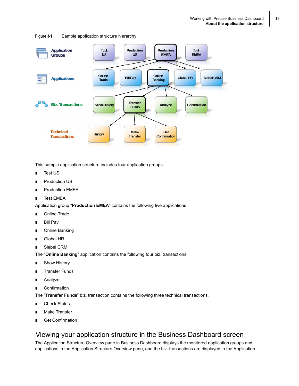19





This sample application structure includes four application groups:

- Test US
- Production US
- Production EMEA
- Test EMEA

Application group "**Production EMEA**" contains the following five applications:

- Online Trade
- Bill Pay
- Online Banking
- Global HR
- Siebel CRM

The "**Online Banking**" application contains the following four biz. transactions:

- Show History
- Transfer Funds
- Analyze
- Confirmation

The "**Transfer Funds**" biz. transaction contains the following three technical transactions.

- **Check Status**
- **Make Transfer**
- **Get Confirmation**

#### Viewing your application structure in the Business Dashboard screen

The Application Structure Overview pane in Business Dashboard displays the monitored application groups and applications in the Application Structure Overview pane, and the biz. transactions are displayed in the Application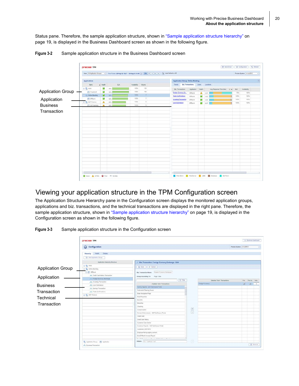20

Status pane. Therefore, the sample application structure, shown in "Sample application structure hierarchy" on page 19, is displayed in the Business Dashboard screen as shown in the following figure.



**Figure 3-2** Sample application structure in the Business Dashboard screen

#### Viewing your application structure in the TPM Configuration screen

The Application Structure Hierarchy pane in the Configuration screen displays the monitored application groups, applications and biz. transactions, and the technical transactions are displayed in the right pane. Therefore, the sample application structure, shown in "Sample application structure hierarchy" on page 19, is displayed in the Configuration screen as shown in the following figure.



**Figure 3-3** Sample application structure in the Configuration screen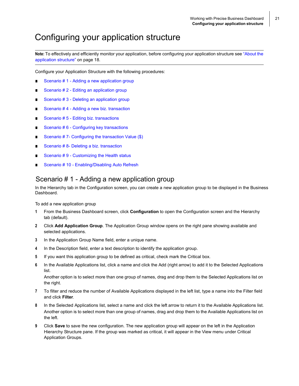## Configuring your application structure

**Note:** To effectively and efficiently monitor your application, before configuring your application structure see "About the application structure" on page 18.

Configure your Application Structure with the following procedures:

- Scenario # 1 Adding a new application group
- Scenario # 2 Editing an application group
- Scenario # 3 Deleting an application group
- Scenario #4 Adding a new biz. transaction
- Scenario # 5 Editing biz. transactions
- Scenario # 6 Configuring key transactions
- Scenario # 7- Configuring the transaction Value (\$)
- Scenario # 8- Deleting a biz. transaction
- Scenario #9 Customizing the Health status
- Scenario # 10 Enabling/Disabling Auto Refresh

#### Scenario # 1 - Adding a new application group

In the Hierarchy tab in the Configuration screen, you can create a new application group to be displayed in the Business Dashboard.

To add a new application group

- **1** From the Business Dashboard screen, click **Configuration** to open the Configuration screen and the Hierarchy tab (default).
- **2** Click **Add Application Group**. The Application Group window opens on the right pane showing available and selected applications.
- **3** In the Application Group Name field, enter a unique name.
- **4** In the Description field, enter a text description to identify the application group.
- **5** If you want this application group to be defined as critical, check mark the Critical box.
- **6** In the Available Applications list, click a name and click the Add (right arrow) to add it to the Selected Applications list.

Another option is to select more than one group of names, drag and drop them to the Selected Applications list on the right.

- **7** To filter and reduce the number of Available Applications displayed in the left list, type a name into the Filter field and click **Filter**.
- **8** In the Selected Applications list, select a name and click the left arrow to return it to the Available Applications list. Another option is to select more than one group of names, drag and drop them to the Available Applications list on the left.
- **9** Click **Save** to save the new configuration. The new application group will appear on the left in the Application Hierarchy Structure pane. If the group was marked as critical, it will appear in the View menu under Critical Application Groups.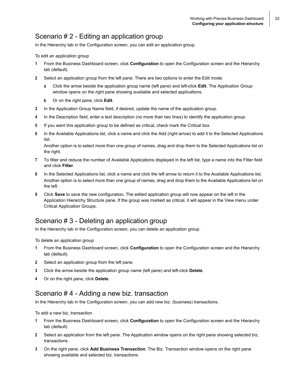#### Scenario # 2 - Editing an application group

In the Hierarchy tab in the Configuration screen, you can edit an application group.

To edit an application group

- **1** From the Business Dashboard screen, click **Configuration** to open the Configuration screen and the Hierarchy tab (default).
- **2** Select an application group from the left pane. There are two options to enter the Edit mode:
	- **a** Click the arrow beside the application group name (left pane) and left-click **Edit**. The Application Group window opens on the right pane showing available and selected applications.
	- **b** Or on the right pane, click **Edit**.
- **3** In the Application Group Name field, if desired, update the name of the application group.
- **4** In the Description field, enter a text description (no more than two lines) to identify the application group.
- **5** If you want this application group to be defined as critical, check mark the Critical box.
- **6** In the Available Applications list, click a name and click the Add (right arrow) to add it to the Selected Applications list.

Another option is to select more than one group of names, drag and drop them to the Selected Applications list on the right.

- **7** To filter and reduce the number of Available Applications displayed in the left list, type a name into the Filter field and click **Filter**.
- **8** In the Selected Applications list, click a name and click the left arrow to return it to the Available Applications list. Another option is to select more than one group of names, drag and drop them to the Available Applications list on the left.
- **9** Click **Save** to save the new configuration. The edited application group will now appear on the left in the Application Hierarchy Structure pane. If the group was marked as critical, it will appear in the View menu under Critical Application Groups.

#### Scenario # 3 - Deleting an application group

In the Hierarchy tab in the Configuration screen, you can delete an application group.

To delete an application group

- **1** From the Business Dashboard screen, click **Configuration** to open the Configuration screen and the Hierarchy tab (default).
- **2** Select an application group from the left pane.
- **3** Click the arrow beside the application group name (left pane) and left-click **Delete**.
- **4** Or on the right pane, click **Delete**.

#### Scenario # 4 - Adding a new biz. transaction

In the Hierarchy tab in the Configuration screen, you can add new biz. (business) transactions.

To add a new biz. transaction

- **1** From the Business Dashboard screen, click **Configuration** to open the Configuration screen and the Hierarchy tab (default).
- **2** Select an application from the left pane. The Application window opens on the right pane showing selected biz. transactions.
- **3** On the right pane, click **Add Business Transaction**. The Biz. Transaction window opens on the right pane showing available and selected biz. transactions.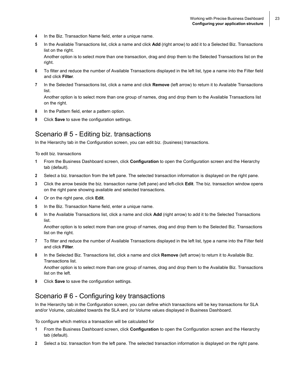- **4** In the Biz. Transaction Name field, enter a unique name.
- **5** In the Available Transactions list, click a name and click **Add** (right arrow) to add it to a Selected Biz. Transactions list on the right.

Another option is to select more than one transaction, drag and drop them to the Selected Transactions list on the right.

- **6** To filter and reduce the number of Available Transactions displayed in the left list, type a name into the Filter field and click **Filter**.
- **7** In the Selected Transactions list, click a name and click **Remove** (left arrow) to return it to Available Transactions list.

Another option is to select more than one group of names, drag and drop them to the Available Transactions list on the right.

- **8** In the Pattern field, enter a pattern option.
- **9** Click **Save** to save the configuration settings.

#### Scenario # 5 - Editing biz. transactions

In the Hierarchy tab in the Configuration screen, you can edit biz. (business) transactions.

To edit biz. transactions

- **1** From the Business Dashboard screen, click **Configuration** to open the Configuration screen and the Hierarchy tab (default).
- **2** Select a biz. transaction from the left pane. The selected transaction information is displayed on the right pane.
- **3** Click the arrow beside the biz. transaction name (left pane) and left-click **Edit**. The biz. transaction window opens on the right pane showing available and selected transactions.
- **4** Or on the right pane, click **Edit**.
- **5** In the Biz. Transaction Name field, enter a unique name.
- **6** In the Available Transactions list, click a name and click **Add** (right arrow) to add it to the Selected Transactions list.

Another option is to select more than one group of names, drag and drop them to the Selected Biz. Transactions list on the right.

- **7** To filter and reduce the number of Available Transactions displayed in the left list, type a name into the Filter field and click **Filter**.
- **8** In the Selected Biz. Transactions list, click a name and click **Remove** (left arrow) to return it to Available Biz. Transactions list.

Another option is to select more than one group of names, drag and drop them to the Available Biz. Transactions list on the left.

**9** Click **Save** to save the configuration settings.

#### Scenario # 6 - Configuring key transactions

In the Hierarchy tab in the Configuration screen, you can define which transactions will be key transactions for SLA and/or Volume, calculated towards the SLA and /or Volume values displayed in Business Dashboard.

To configure which metrics a transaction will be calculated for

- **1** From the Business Dashboard screen, click **Configuration** to open the Configuration screen and the Hierarchy tab (default).
- **2** Select a biz. transaction from the left pane. The selected transaction information is displayed on the right pane.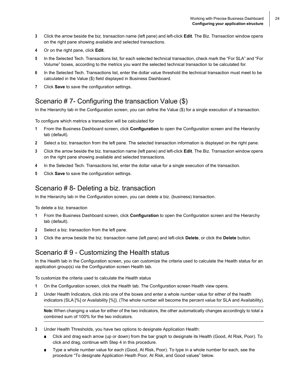- **3** Click the arrow beside the biz. transaction name (left pane) and left-click **Edit**. The Biz. Transaction window opens on the right pane showing available and selected transactions.
- **4** Or on the right pane, click **Edit**.
- **5** In the Selected Tech. Transactions list, for each selected technical transaction, check mark the "For SLA" and "For Volume" boxes, according to the metrics you want the selected technical transaction to be calculated for.
- **6** In the Selected Tech. Transactions list, enter the dollar value threshold the technical transaction must meet to be calculated in the Value (\$) field displayed in Business Dashboard.
- **7** Click **Save** to save the configuration settings.

#### Scenario # 7- Configuring the transaction Value (\$)

In the Hierarchy tab in the Configuration screen, you can define the Value (\$) for a single execution of a transaction.

To configure which metrics a transaction will be calculated for

- **1** From the Business Dashboard screen, click **Configuration** to open the Configuration screen and the Hierarchy tab (default).
- **2** Select a biz. transaction from the left pane. The selected transaction information is displayed on the right pane.
- **3** Click the arrow beside the biz. transaction name (left pane) and left-click **Edit**. The Biz. Transaction window opens on the right pane showing available and selected transactions.
- **4** In the Selected Tech. Transactions list, enter the dollar value for a single execution of the transaction.
- **5** Click **Save** to save the configuration settings.

#### Scenario # 8- Deleting a biz. transaction

In the Hierarchy tab in the Configuration screen, you can delete a biz. (business) transaction.

To delete a biz. transaction

- **1** From the Business Dashboard screen, click **Configuration** to open the Configuration screen and the Hierarchy tab (default).
- **2** Select a biz. transaction from the left pane.
- **3** Click the arrow beside the biz. transaction name (left pane) and left-click **Delete**, or click the **Delete** button.

#### Scenario # 9 - Customizing the Health status

In the Health tab in the Configuration screen, you can customize the criteria used to calculate the Health status for an application group(s) via the Configuration screen Health tab.

To customize the criteria used to calculate the Health status

- **1** On the Configuration screen, click the Health tab. The Configuration screen Health view opens.
- **2** Under Health Indicators, click into one of the boxes and enter a whole number value for either of the health indicators (SLA [%] or Availability [%]). (The whole number will become the percent value for SLA and Availability).

**Note:** When changing a value for either of the two indicators, the other automatically changes accordingly to total a combined sum of 100% for the two indicators.

- **3** Under Health Thresholds, you have two options to designate Application Health:
	- Click and drag each arrow (up or down) from the bar graph to designate its Health (Good, At Risk, Poor). To click and drag, continue with Step 4 in this procedure.
	- Type a whole number value for each (Good, At Risk, Poor). To type in a whole number for each, see the procedure "To designate Application Heath Poor, At Risk, and Good values" below.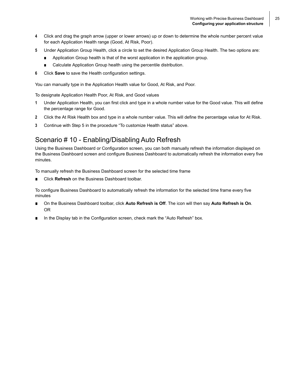- **4** Click and drag the graph arrow (upper or lower arrows) up or down to determine the whole number percent value for each Application Health range (Good, At Risk, Poor).
- **5** Under Application Group Health, click a circle to set the desired Application Group Health. The two options are:
	- Application Group health is that of the worst application in the application group.
	- Calculate Application Group health using the percentile distribution.
- **6** Click **Save** to save the Health configuration settings.

You can manually type in the Application Health value for Good, At Risk, and Poor.

To designate Application Health Poor, At Risk, and Good values

- **1** Under Application Health, you can first click and type in a whole number value for the Good value. This will define the percentage range for Good.
- **2** Click the At Risk Health box and type in a whole number value. This will define the percentage value for At Risk.
- **3** Continue with Step 5 in the procedure "To customize Health status" above.

#### Scenario # 10 - Enabling/Disabling Auto Refresh

Using the Business Dashboard or Configuration screen, you can both manually refresh the information displayed on the Business Dashboard screen and configure Business Dashboard to automatically refresh the information every five minutes.

To manually refresh the Business Dashboard screen for the selected time frame

Click Refresh on the Business Dashboard toolbar.

To configure Business Dashboard to automatically refresh the information for the selected time frame every five minutes

- On the Business Dashboard toolbar, click **Auto Refresh is Off**. The icon will then say **Auto Refresh is On**. OR
- In the Display tab in the Configuration screen, check mark the "Auto Refresh" box.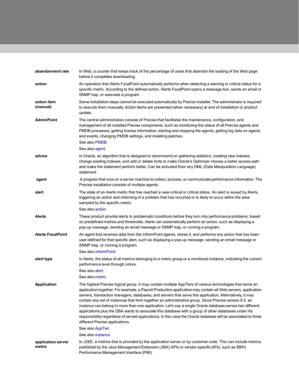| abandonment rate         | In Web, a counter that keeps track of the percentage of users that abandon the loading of the Web page<br>before it completes downloading.                                                                                                                                                                                                                                                                                                                                                                                                                                                                                                                                                                                                                                                                                                     |
|--------------------------|------------------------------------------------------------------------------------------------------------------------------------------------------------------------------------------------------------------------------------------------------------------------------------------------------------------------------------------------------------------------------------------------------------------------------------------------------------------------------------------------------------------------------------------------------------------------------------------------------------------------------------------------------------------------------------------------------------------------------------------------------------------------------------------------------------------------------------------------|
| action                   | An operation that Alerts FocalPoint automatically performs when detecting a warning or critical status for a<br>specific metric. According to the defined action, Alerts FocalPoint opens a message box, sends an email or<br>SNMP trap, or executes a program.                                                                                                                                                                                                                                                                                                                                                                                                                                                                                                                                                                                |
| action item<br>(manual)  | Some installation steps cannot be executed automatically by Precise Installer. The administrator is required<br>to execute them manually. Action Items are presented (when necessary) at end of installation or product<br>update.                                                                                                                                                                                                                                                                                                                                                                                                                                                                                                                                                                                                             |
| <b>AdminPoint</b>        | The central administration console of Precise that facilitates the maintenance, configuration, and<br>management of all installed Precise components, such as monitoring the status of all Precise agents and<br>PMDB processes, getting license information, starting and stopping the agents, getting log data on agents<br>and events, changing PMDB settings, and installing patches.                                                                                                                                                                                                                                                                                                                                                                                                                                                      |
|                          | See also PMDB.                                                                                                                                                                                                                                                                                                                                                                                                                                                                                                                                                                                                                                                                                                                                                                                                                                 |
|                          | See also agent.                                                                                                                                                                                                                                                                                                                                                                                                                                                                                                                                                                                                                                                                                                                                                                                                                                |
| advice                   | In Oracle, an algorithm that is designed to recommend on gathering statistics, creating new indexes,<br>change existing indexes, and add or delete hints to make Oracle's Optimizer choose a better access path<br>and make the statement perform better. Can be activated from any DML (Data Manipulation Language)<br>statement.                                                                                                                                                                                                                                                                                                                                                                                                                                                                                                             |
| agent                    | A program that runs on a server machine to collect, process, or communicate performance information. The<br>Precise installation consists of multiple agents.                                                                                                                                                                                                                                                                                                                                                                                                                                                                                                                                                                                                                                                                                  |
| alert                    | The state of an Alerts metric that has reached a near-critical or critical status. An alert is issued by Alerts,<br>triggering an action and informing of a problem that has occurred or is likely to occur within the area<br>sampled by the specific metric.                                                                                                                                                                                                                                                                                                                                                                                                                                                                                                                                                                                 |
|                          | See also action.                                                                                                                                                                                                                                                                                                                                                                                                                                                                                                                                                                                                                                                                                                                                                                                                                               |
| <b>Alerts</b>            | These product provide alerts to problematic conditions before they turn into performance problems, based<br>on predefined metrics and thresholds. Alerts can automatically perform an action, such as displaying a                                                                                                                                                                                                                                                                                                                                                                                                                                                                                                                                                                                                                             |
|                          | pop-up message, sending an email message or SNMP trap, or running a program.                                                                                                                                                                                                                                                                                                                                                                                                                                                                                                                                                                                                                                                                                                                                                                   |
| <b>Alerts FocalPoint</b> | An agent that receives data from the InformPoint agents, stores it, and performs any action that has been<br>user-defined for that specific alert, such as displaying a pop-up message, sending an email message or<br>SNMP trap, or running a program.<br>See also InformPoint.                                                                                                                                                                                                                                                                                                                                                                                                                                                                                                                                                               |
| alert type               | In Alerts, the status of all metrics belonging to a metric group or a monitored instance, indicating the current<br>performance level through colors.                                                                                                                                                                                                                                                                                                                                                                                                                                                                                                                                                                                                                                                                                          |
|                          | See also alert.<br>See also metric.                                                                                                                                                                                                                                                                                                                                                                                                                                                                                                                                                                                                                                                                                                                                                                                                            |
| <b>Application</b>       | The highest Precise logical group. It may contain multiple AppTiers of various technologies that serve an<br>application together. For example, a Payroll Production application may contain all Web servers, application<br>servers, transaction managers, databases, and servers that serve this application. Alternatively, it may<br>contain any set of instances that form together an administrative group. Since Precise version 8.5, an<br>instance can belong to more than one application. Let's say a single Oracle database serves two different<br>applications plus the DBA wants to associate this database with a group of other databases under his<br>responsibility regardless of served applications. In this case the Oracle database will be associated to three<br>different Precise applications.<br>See also AppTier. |
| application server       | See also instance.<br>In J2EE, a metrics that is provided by the application server or by customer code. This can include metrics                                                                                                                                                                                                                                                                                                                                                                                                                                                                                                                                                                                                                                                                                                              |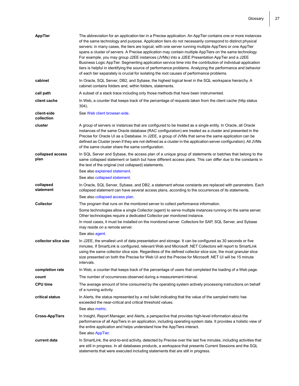| AppTier                   | The abbreviation for an application tier in a Precise application. An AppTier contains one or more instances<br>of the same technology and purpose. Application tiers do not necessarily correspond to distinct physical<br>servers: in many cases, the tiers are logical, with one server running multiple AppTiers or one AppTier<br>spans a cluster of servers. A Precise application may contain multiple AppTiers on the same technology.<br>For example, you may group J2EE instances (JVMs) into a J2EE Presentation AppTier and a J2EE<br>Business Logic AppTier. Segmenting application service time into the contribution of individual application<br>tiers is helpful in identifying the source of performance problems. Analyzing the performance and behavior<br>of each tier separately is crucial for isolating the root causes of performance problems. |
|---------------------------|--------------------------------------------------------------------------------------------------------------------------------------------------------------------------------------------------------------------------------------------------------------------------------------------------------------------------------------------------------------------------------------------------------------------------------------------------------------------------------------------------------------------------------------------------------------------------------------------------------------------------------------------------------------------------------------------------------------------------------------------------------------------------------------------------------------------------------------------------------------------------|
| cabinet                   | In Oracle, SQL Server, DB2, and Sybase, the highest logical level in the SQL workspace hierarchy. A<br>cabinet contains folders and, within folders, statements.                                                                                                                                                                                                                                                                                                                                                                                                                                                                                                                                                                                                                                                                                                         |
| call path                 | A subset of a stack trace including only those methods that have been instrumented.                                                                                                                                                                                                                                                                                                                                                                                                                                                                                                                                                                                                                                                                                                                                                                                      |
| client cache              | In Web, a counter that keeps track of the percentage of requests taken from the client cache (http status<br>304).                                                                                                                                                                                                                                                                                                                                                                                                                                                                                                                                                                                                                                                                                                                                                       |
| client-side<br>collection | See Web client browser-side.                                                                                                                                                                                                                                                                                                                                                                                                                                                                                                                                                                                                                                                                                                                                                                                                                                             |
| cluster                   | A group of servers or instances that are configured to be treated as a single entity. In Oracle, all Oracle<br>instances of the same Oracle database (RAC configuration) are treated as a cluster and presented in the<br>Precise for Oracle UI as a Database. In J2EE, a group of JVMs that serve the same application can be<br>defined as Cluster (even if they are not defined as a cluster in the application server configuration). All JVMs<br>of the same cluster share the same configuration.                                                                                                                                                                                                                                                                                                                                                                  |
| collapsed access<br>plan  | In SQL Server and Sybase, the access plan of a unique group of statements or batches that belong to the<br>same collapsed statement or batch but have different access plans. This can differ due to the constants in<br>the text of the original (not collapsed) statements.                                                                                                                                                                                                                                                                                                                                                                                                                                                                                                                                                                                            |
|                           | See also explained statement.                                                                                                                                                                                                                                                                                                                                                                                                                                                                                                                                                                                                                                                                                                                                                                                                                                            |
|                           | See also collapsed statement.                                                                                                                                                                                                                                                                                                                                                                                                                                                                                                                                                                                                                                                                                                                                                                                                                                            |
| collapsed<br>statement    | In Oracle, SQL Server, Sybase, and DB2, a statement whose constants are replaced with parameters. Each<br>collapsed statement can have several access plans, according to the occurrences of its statements.<br>See also collapsed access plan.                                                                                                                                                                                                                                                                                                                                                                                                                                                                                                                                                                                                                          |
|                           |                                                                                                                                                                                                                                                                                                                                                                                                                                                                                                                                                                                                                                                                                                                                                                                                                                                                          |
| <b>Collector</b>          | The program that runs on the monitored server to collect performance information.<br>Some technologies allow a single Collector (agent) to serve multiple instances running on the same server.<br>Other technologies require a dedicated Collector per monitored instance.                                                                                                                                                                                                                                                                                                                                                                                                                                                                                                                                                                                              |
|                           | In most cases, it must be installed on the monitored server. Collectors for SAP, SQL Server, and Sybase<br>may reside on a remote server.                                                                                                                                                                                                                                                                                                                                                                                                                                                                                                                                                                                                                                                                                                                                |
|                           | See also agent                                                                                                                                                                                                                                                                                                                                                                                                                                                                                                                                                                                                                                                                                                                                                                                                                                                           |
| collector slice size      | In J2EE, the smallest unit of data presentation and storage. It can be configured as 30 seconds or five<br>minutes. If SmartLink is configured, relevant Web and Microsoft .NET Collectors will report to SmartLink<br>using the same collector slice size. Regardless of the defined collector slice size, the most granular slice<br>size presented on both the Precise for Web UI and the Precise for Microsoft .NET UI will be 15 minute<br>intervals.                                                                                                                                                                                                                                                                                                                                                                                                               |
| completion rate           | In Web, a counter that keeps track of the percentage of users that completed the loading of a Web page.                                                                                                                                                                                                                                                                                                                                                                                                                                                                                                                                                                                                                                                                                                                                                                  |
| count                     | The number of occurrences observed during a measurement interval.                                                                                                                                                                                                                                                                                                                                                                                                                                                                                                                                                                                                                                                                                                                                                                                                        |
| <b>CPU time</b>           | The average amount of time consumed by the operating system actively processing instructions on behalf<br>of a running activity.                                                                                                                                                                                                                                                                                                                                                                                                                                                                                                                                                                                                                                                                                                                                         |
| critical status           | In Alerts, the status represented by a red bullet indicating that the value of the sampled metric has<br>exceeded the near-critical and critical threshold values.<br>See also metric.                                                                                                                                                                                                                                                                                                                                                                                                                                                                                                                                                                                                                                                                                   |
| <b>Cross-AppTiers</b>     | In Insight, Report Manager, and Alerts, a perspective that provides high-level information about the<br>performance of all AppTiers in an application, including operating system data. It provides a holistic view of<br>the entire application and helps understand how the AppTiers interact.<br>See also AppTier.                                                                                                                                                                                                                                                                                                                                                                                                                                                                                                                                                    |
| current data              | In SmartLink, the end-to-end activity, detected by Precise over the last five minutes, including activities that<br>are still in progress. In all databases products, a workspace that presents Current Sessions and the SQL<br>statements that were executed including statements that are still in progress.                                                                                                                                                                                                                                                                                                                                                                                                                                                                                                                                                           |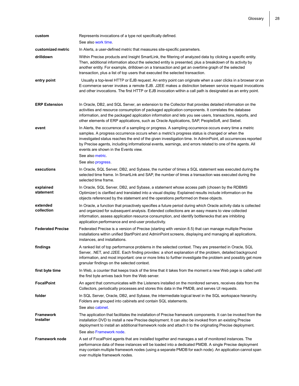| custom                               | Represents invocations of a type not specifically defined.                                                                                                                                                                                                                                                                                                                                                                                                                                     |
|--------------------------------------|------------------------------------------------------------------------------------------------------------------------------------------------------------------------------------------------------------------------------------------------------------------------------------------------------------------------------------------------------------------------------------------------------------------------------------------------------------------------------------------------|
|                                      | See also work time.                                                                                                                                                                                                                                                                                                                                                                                                                                                                            |
| customized metric                    | In Alerts, a user-defined metric that measures site-specific parameters.                                                                                                                                                                                                                                                                                                                                                                                                                       |
| drilldown                            | Within Precise products and Insight SmartLink, the filtering of analyzed data by clicking a specific entity.<br>Then, additional information about the selected entity is presented, plus a breakdown of its activity by<br>another entity. For example, drilldown on a transaction and get an overtime graph of the selected<br>transaction, plus a list of top users that executed the selected transaction.                                                                                 |
| entry point                          | Usually a top-level HTTP or EJB request. An entry point can originate when a user clicks in a browser or an<br>E-commerce server invokes a remote EJB. J2EE makes a distinction between service request invocations<br>and other invocations. The first HTTP or EJB invocation within a call path is designated as an entry point.                                                                                                                                                             |
| <b>ERP Extension</b>                 | In Oracle, DB2, and SQL Server, an extension to the Collector that provides detailed information on the<br>activities and resource consumption of packaged application components. It correlates the database<br>information, and the packaged application information and lets you see users, transactions, reports, and<br>other elements of ERP applications, such as Oracle Applications, SAP, PeopleSoft, and Siebel.                                                                     |
| event                                | In Alerts, the occurrence of a sampling or progress. A sampling occurrence occurs every time a metric<br>samples. A progress occurrence occurs when a metric's progress status is changed or when the<br>investigated status reaches the end of the given investigation time. In AdminPoint, all occurrences reported<br>by Precise agents, including informational events, warnings, and errors related to one of the agents. All<br>events are shown in the Events view.<br>See also metric. |
|                                      | See also progress.                                                                                                                                                                                                                                                                                                                                                                                                                                                                             |
| executions                           | In Oracle, SQL Server, DB2, and Sybase, the number of times a SQL statement was executed during the<br>selected time frame. In SmartLink and SAP, the number of times a transaction was executed during the<br>selected time frame.                                                                                                                                                                                                                                                            |
| explained<br>statement               | In Oracle, SQL Server, DB2, and Sybase, a statement whose access path (chosen by the RDBMS)<br>Optimizer) is clarified and translated into a visual display. Explained results include information on the<br>objects referenced by the statement and the operations performed on these objects.                                                                                                                                                                                                |
| extended<br>collection               | In Oracle, a function that proactively specifies a future period during which Oracle activity data is collected<br>and organized for subsequent analysis. Extended collections are an easy means to view collected<br>information, assess application resource consumption, and identify bottlenecks that are inhibiting<br>application performance and end-user productivity.                                                                                                                 |
| <b>Federated Precise</b>             | Federated Precise is a version of Precise (starting with version 8.5) that can manage multiple Precise<br>installations within unified StartPoint and AdminPoint screens, displaying and managing all applications,<br>instances, and installations.                                                                                                                                                                                                                                           |
| findings                             | A ranked list of top performance problems in the selected context. They are presented in Oracle, SQL<br>Server, .NET, and J2EE. Each finding provides: a short explanation of the problem, detailed background<br>information, and most important: one or more links to further investigate the problem and possibly get more<br>granular findings on the selected context.                                                                                                                    |
| first byte time                      | In Web, a counter that keeps track of the time that it takes from the moment a new Web page is called until<br>the first byte arrives back from the Web server.                                                                                                                                                                                                                                                                                                                                |
| <b>FocalPoint</b>                    | An agent that communicates with the Listeners installed on the monitored servers, receives data from the<br>Collectors, periodically processes and stores this data in the PMDB, and serves UI requests.                                                                                                                                                                                                                                                                                       |
| folder                               | In SQL Server, Oracle, DB2, and Sybase, the intermediate logical level in the SQL workspace hierarchy.<br>Folders are grouped into cabinets and contain SQL statements.<br>See also cabinet.                                                                                                                                                                                                                                                                                                   |
| <b>Framework</b><br><b>Installer</b> | The application that facilitates the installation of Precise framework components. It can be invoked from the<br>installation DVD to install a new Precise deployment. It can also be invoked from an existing Precise<br>deployment to install an additional framework node and attach it to the originating Precise deployment.                                                                                                                                                              |
|                                      | See also Framework node                                                                                                                                                                                                                                                                                                                                                                                                                                                                        |
| <b>Framework node</b>                | A set of FocalPoint agents that are installed together and manages a set of monitored instances. The<br>performance data of these instances will be loaded into a dedicated PMDB. A single Precise deployment<br>may contain multiple framework nodes (using a separate PMDB for each node). An application cannot span<br>over multiple framework nodes.                                                                                                                                      |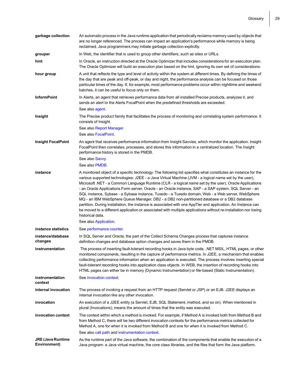| garbage collection                       | An automatic process in the Java runtime application that periodically reclaims memory used by objects that<br>are no longer referenced. The process can impact an application's performance while memory is being<br>reclaimed. Java programmers may initiate garbage collection explicitly.                                                                                                                                                                                                                                                                                                                                                                                                                                                                                                                                                                                                                                   |
|------------------------------------------|---------------------------------------------------------------------------------------------------------------------------------------------------------------------------------------------------------------------------------------------------------------------------------------------------------------------------------------------------------------------------------------------------------------------------------------------------------------------------------------------------------------------------------------------------------------------------------------------------------------------------------------------------------------------------------------------------------------------------------------------------------------------------------------------------------------------------------------------------------------------------------------------------------------------------------|
| grouper                                  | In Web, the identifier that is used to group other identifiers, such as sites or URLs.                                                                                                                                                                                                                                                                                                                                                                                                                                                                                                                                                                                                                                                                                                                                                                                                                                          |
| hint                                     | In Oracle, an instruction directed at the Oracle Optimizer that includes considerations for an execution plan.<br>The Oracle Optimizer will build an execution plan based on the hint, ignoring its own set of considerations.                                                                                                                                                                                                                                                                                                                                                                                                                                                                                                                                                                                                                                                                                                  |
| hour group                               | A unit that reflects the type and level of activity within the system at different times. By defining the times of<br>the day that are peak and off-peak, or day and night, the performance analysis can be focused on those<br>particular times of the day. If, for example, most performance problems occur within nighttime and weekend<br>batches, it can be useful to focus only on them.                                                                                                                                                                                                                                                                                                                                                                                                                                                                                                                                  |
| <b>InformPoint</b>                       | In Alerts, an agent that retrieves performance data from all installed Precise products, analyzes it, and<br>sends an alert to the Alerts FocalPoint when the predefined thresholds are exceeded.<br>See also agent.                                                                                                                                                                                                                                                                                                                                                                                                                                                                                                                                                                                                                                                                                                            |
| Insight                                  | The Precise product family that facilitates the process of monitoring and correlating system performance. It<br>consists of Insight.<br>See also Report Manager<br>See also FocalPoint                                                                                                                                                                                                                                                                                                                                                                                                                                                                                                                                                                                                                                                                                                                                          |
| <b>Insight FocalPoint</b>                | An agent that receives performance information from Insight Savvies, which monitor the application. Insight<br>FocalPoint then correlates, processes, and stores this information in a centralized location. The Insight<br>performance history is stored in the PMDB.<br>See also Savvy.<br>See also PMDB.                                                                                                                                                                                                                                                                                                                                                                                                                                                                                                                                                                                                                     |
| instance                                 | A monitored object of a specific technology. The following list specifies what constitutes an instance for the<br>various supported technologies: J2EE - a Java Virtual Machine (JVM - a logical name set by the user),<br>Microsoft .NET - a Common Language Runtime (CLR - a logical name set by the user), Oracle Applications<br>- an Oracle Applications Form server, Oracle - an Oracle instance, SAP - a SAP system, SQL Server - an<br>SQL instance, Sybase - a Sybase instance, Tuxedo - a Tuxedo domain, Web - a Web server, WebSphere<br>MQ - an IBM WebSphere Queue Manager, DB2 - a DB2 non-partitioned database or a DB2 database<br>partition. During installation, the instance is associated with one AppTier and application. An Instance can<br>be moved to a different application or associated with multiple applications without re-installation nor losing<br>historical data.<br>See also Application. |
| instance statistics                      | See performance counter.                                                                                                                                                                                                                                                                                                                                                                                                                                                                                                                                                                                                                                                                                                                                                                                                                                                                                                        |
| instance/database<br>changes             | In SQL Server and Oracle, the part of the Collect Schema Changes process that captures instance<br>definition changes and database option changes and saves them in the PMDB.                                                                                                                                                                                                                                                                                                                                                                                                                                                                                                                                                                                                                                                                                                                                                   |
| instrumentation                          | The process of inserting fault-tolerant recording hooks in Java byte code, .NET MSIL, HTML pages, or other<br>monitored components, resulting in the capture of performance metrics. In J2EE, a mechanism that enables<br>collecting performance information when an application is executed. The process involves inserting special<br>fault-tolerant recording hooks into application class objects. In WEB, the insertion of recording hooks into<br>HTML pages can either be in memory (Dynamic Instrumentation) or file-based (Static Instrumentation).                                                                                                                                                                                                                                                                                                                                                                    |
| instrumentation<br>context               | See invocation context.                                                                                                                                                                                                                                                                                                                                                                                                                                                                                                                                                                                                                                                                                                                                                                                                                                                                                                         |
| internal invocation                      | The process of invoking a request from an HTTP request (Servlet or JSP) or an EJB. J2EE displays an<br>internal invocation like any other invocation.                                                                                                                                                                                                                                                                                                                                                                                                                                                                                                                                                                                                                                                                                                                                                                           |
| invocation                               | An execution of a J2EE entity (a Servlet, EJB, SQL Statement, method, and so on). When mentioned in<br>plural (Invocations), means the amount of times that the entity was executed.                                                                                                                                                                                                                                                                                                                                                                                                                                                                                                                                                                                                                                                                                                                                            |
| invocation context                       | The context within which a method is invoked. For example, if Method A is invoked both from Method B and<br>from Method C, there will be two different invocation contexts for the performance metrics collected for<br>Method A, one for when it is invoked from Method B and one for when it is invoked from Method C.<br>See also call path and instrumentation context.                                                                                                                                                                                                                                                                                                                                                                                                                                                                                                                                                     |
| <b>JRE (Java Runtime</b><br>Environment) | As the runtime part of the Java software, the combination of the components that enable the execution of a<br>Java program: a Java virtual machine, the core class libraries, and the files that form the Java platform.                                                                                                                                                                                                                                                                                                                                                                                                                                                                                                                                                                                                                                                                                                        |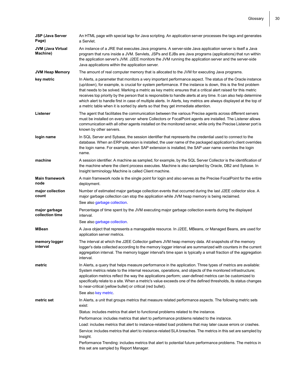| <b>JSP (Java Server</b><br>Page)     | An HTML page with special tags for Java scripting. An application server processes the tags and generates<br>a Servlet.                                                                                                                                                                                                                                                                                                                                                                                                                                                                                                                                                   |
|--------------------------------------|---------------------------------------------------------------------------------------------------------------------------------------------------------------------------------------------------------------------------------------------------------------------------------------------------------------------------------------------------------------------------------------------------------------------------------------------------------------------------------------------------------------------------------------------------------------------------------------------------------------------------------------------------------------------------|
| <b>JVM (Java Virtual</b><br>Machine) | An instance of a JRE that executes Java programs. A server-side Java application server is itself a Java<br>program that runs inside a JVM. Servlets, JSPs and EJBs are Java programs (applications) that run within<br>the application server's JVM. J2EE monitors the JVM running the application server and the server-side<br>Java applications within the application server.                                                                                                                                                                                                                                                                                        |
| <b>JVM Heap Memory</b>               | The amount of real computer memory that is allocated to the JVM for executing Java programs.                                                                                                                                                                                                                                                                                                                                                                                                                                                                                                                                                                              |
| key metric                           | In Alerts, a parameter that monitors a very important performance aspect. The status of the Oracle instance<br>(up/down), for example, is crucial for system performance. If the instance is down, this is the first problem<br>that needs to be solved. Marking a metric as key metric ensures that a critical alert raised for this metric<br>receives top priority by the person that is responsible to handle alerts at any time. It can also help determine<br>which alert to handle first in case of multiple alerts. In Alerts, key metrics are always displayed at the top of<br>a metric table when it is sorted by alerts so that they get immediate attention. |
| Listener                             | The agent that facilitates the communication between the various Precise agents across different servers<br>must be installed on every server where Collectors or FocalPoint agents are installed. The Listener allows<br>communication with all other agents installed on the monitored server, while only the Precise Listener port is<br>known by other servers.                                                                                                                                                                                                                                                                                                       |
| login name                           | In SQL Server and Sybase, the session identifier that represents the credential used to connect to the<br>database. When an ERP extension is installed, the user name of the packaged application's client overrides<br>the login name. For example, when SAP extension is installed, the SAP user name overrides the login<br>name.                                                                                                                                                                                                                                                                                                                                      |
| machine                              | A session identifier. A machine as sampled, for example, by the SQL Server Collector is the identification of<br>the machine where the client process executes. Machine is also sampled by Oracle, DB2 and Sybase. In<br>Insight terminology Machine is called Client machine.                                                                                                                                                                                                                                                                                                                                                                                            |
| <b>Main framework</b><br>node        | A main framework node is the single point for login and also serves as the Precise FocalPoint for the entire<br>deployment.                                                                                                                                                                                                                                                                                                                                                                                                                                                                                                                                               |
| major collection<br>count            | Number of estimated major garbage collection events that occurred during the last J2EE collector slice. A<br>major garbage collection can stop the application while JVM heap memory is being reclaimed.<br>See also garbage collection.                                                                                                                                                                                                                                                                                                                                                                                                                                  |
| major garbage<br>collection time     | Percentage of time spent by the JVM executing major garbage collection events during the displayed<br>interval.                                                                                                                                                                                                                                                                                                                                                                                                                                                                                                                                                           |
|                                      | See also garbage collection.                                                                                                                                                                                                                                                                                                                                                                                                                                                                                                                                                                                                                                              |
| MBean                                | A Java object that represents a manageable resource. In J2EE, MBeans, or Managed Beans, are used for<br>application server metrics.                                                                                                                                                                                                                                                                                                                                                                                                                                                                                                                                       |
| memory logger<br>interval            | The interval at which the J2EE Collector gathers JVM heap memory data. All snapshots of the memory<br>logger's data collected according to the memory logger interval are summarized with counters in the current<br>aggregation interval. The memory logger interval's time span is typically a small fraction of the aggregation<br>interval.                                                                                                                                                                                                                                                                                                                           |
| metric                               | In Alerts, a query that helps measure performance in the application. Three types of metrics are available:<br>System metrics relate to the internal resources, operations, and objects of the monitored infrastructure;<br>application metrics reflect the way the applications perform; user-defined metrics can be customized to<br>specifically relate to a site. When a metric's value exceeds one of the defined thresholds, its status changes<br>to near-critical (yellow bullet) or critical (red bullet).                                                                                                                                                       |
|                                      | See also key metric.                                                                                                                                                                                                                                                                                                                                                                                                                                                                                                                                                                                                                                                      |
| metric set                           | In Alerts, a unit that groups metrics that measure related performance aspects. The following metric sets<br>exist:                                                                                                                                                                                                                                                                                                                                                                                                                                                                                                                                                       |
|                                      | Status: includes metrics that alert to functional problems related to the instance.                                                                                                                                                                                                                                                                                                                                                                                                                                                                                                                                                                                       |
|                                      | Performance: includes metrics that alert to performance problems related to the instance.                                                                                                                                                                                                                                                                                                                                                                                                                                                                                                                                                                                 |
|                                      | Load: includes metrics that alert to instance-related load problems that may later cause errors or crashes.                                                                                                                                                                                                                                                                                                                                                                                                                                                                                                                                                               |
|                                      | Service: includes metrics that alert to instance-related SLA breaches. The metrics in this set are sampled by<br>Insight.                                                                                                                                                                                                                                                                                                                                                                                                                                                                                                                                                 |
|                                      | Performance Trending: includes metrics that alert to potential future performance problems. The metrics in<br>this set are sampled by Report Manager.                                                                                                                                                                                                                                                                                                                                                                                                                                                                                                                     |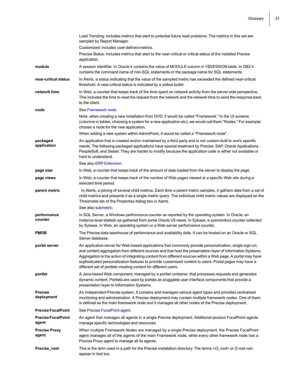|                                    | Load Trending: includes metrics that alert to potential future load problems. The metrics in this set are<br>sampled by Report Manager.                                                                                                                                                                                                                                                                                                                                                                             |
|------------------------------------|---------------------------------------------------------------------------------------------------------------------------------------------------------------------------------------------------------------------------------------------------------------------------------------------------------------------------------------------------------------------------------------------------------------------------------------------------------------------------------------------------------------------|
|                                    | Customized: includes user-defined metrics.                                                                                                                                                                                                                                                                                                                                                                                                                                                                          |
|                                    | Precise Status: includes metrics that alert to the near-critical or critical status of the installed Precise<br>application.                                                                                                                                                                                                                                                                                                                                                                                        |
| module                             | A session identifier. In Oracle it contains the value of MODULE column in V\$SESSION table. In DB2 it<br>contains the command name of non-SQL statements or the package name for SQL statements.                                                                                                                                                                                                                                                                                                                    |
| near-critical status               | In Alerts, a status indicating that the value of the sampled metric has exceeded the defined near-critical<br>threshold. A near-critical status is indicated by a yellow bullet.                                                                                                                                                                                                                                                                                                                                    |
| network time                       | In Web, a counter that keeps track of the time spent on network activity from the server side perspective.<br>This includes the time to read the request from the network and the network time to send the response back<br>to the client.                                                                                                                                                                                                                                                                          |
| node                               | See Framework node                                                                                                                                                                                                                                                                                                                                                                                                                                                                                                  |
|                                    | Note: when creating a new installation from DVD, it would be called "Framework." In the UI screens<br>(columns in tables, choosing a system for a new application etc), we would call them "Nodes." For example:<br>choose a node for the new application.                                                                                                                                                                                                                                                          |
|                                    | When adding a new system within AdminPoint, it would be called a "Framework node".                                                                                                                                                                                                                                                                                                                                                                                                                                  |
| packaged<br>application            | An application that is created and/or maintained by a third party and is not custom-built to one's specific<br>needs. The following packaged applications have special treatment by Precise: SAP, Oracle Applications,<br>PeopleSoft, and Siebel. They are harder to modify because the application code is either not available or<br>hard to understand.                                                                                                                                                          |
|                                    | See also ERP Extension.                                                                                                                                                                                                                                                                                                                                                                                                                                                                                             |
| page size                          | In Web, a counter that keeps track of the amount of data loaded from the server to display the page.                                                                                                                                                                                                                                                                                                                                                                                                                |
| page views                         | In Web, a counter that keeps track of the number of Web pages viewed at a specific Web site during a<br>selected time period.                                                                                                                                                                                                                                                                                                                                                                                       |
| parent metric                      | In Alerts, a joining of several child metrics. Each time a parent metric samples, it gathers data from a set of<br>child metrics and presents it as a single metric query. The individual child metric values are displayed on the<br>Thresholds tab of the Properties dialog box in Alerts.                                                                                                                                                                                                                        |
|                                    | See also submetric.                                                                                                                                                                                                                                                                                                                                                                                                                                                                                                 |
| performance<br>counter             | In SQL Server, a Windows performance counter as reported by the operating system. In Oracle, an<br>instance level statistic as gathered from some Oracle V\$ views. In Sybase, a sysmonitors counter collected<br>by Sybase. In Web, an operating system or a Web server performance counter.                                                                                                                                                                                                                       |
| <b>PMDB</b>                        | The Precise data warehouse of performance and availability data. It can be hosted on an Oracle or SQL<br>Server database.                                                                                                                                                                                                                                                                                                                                                                                           |
| portal server                      | An application server for Web-based applications that commonly provide personalization, single sign-on,<br>and content aggregation from different sources and that host the presentation layer of Information Systems.<br>Aggregation is the action of integrating content from different sources within a Web page. A portal may have<br>sophisticated personalization features to provide customized content to users. Portal pages may have a<br>different set of portlets creating content for different users. |
| portlet                            | A Java-based Web component, managed by a portlet container, that processes requests and generates<br>dynamic content. Portlets are used by portals as pluggable user interface components that provide a<br>presentation layer to Information Systems.                                                                                                                                                                                                                                                              |
| <b>Precise</b><br>deployment       | An independent Precise system. It contains and manages various agent types and provides centralized<br>monitoring and administration. A Precise deployment may contain multiple framework nodes. One of them<br>is defined as the main framework node and it manages all other nodes of the Precise deployment.                                                                                                                                                                                                     |
| <b>Precise FocalPoint</b>          | See Precise FocalPoint agent.                                                                                                                                                                                                                                                                                                                                                                                                                                                                                       |
| <b>Precise FocalPoint</b><br>agent | An agent that manages all agents in a single Precise deployment. Additional product FocalPoint agents<br>manage specific technologies and resources.                                                                                                                                                                                                                                                                                                                                                                |
| <b>Precise Proxy</b><br>agent      | When multiple Framework Nodes are managed by a single Precise deployment, the Precise FocalPoint<br>agent manages all of the agents of the main Framework node, while every other framework node has a<br>Precise Proxy agent to manage all its agents.                                                                                                                                                                                                                                                             |
| Precise_root                       | This is the term used in a path for the Precise installation directory. The terms <i3_root> or i3 root can<br/>appear in text too.</i3_root>                                                                                                                                                                                                                                                                                                                                                                        |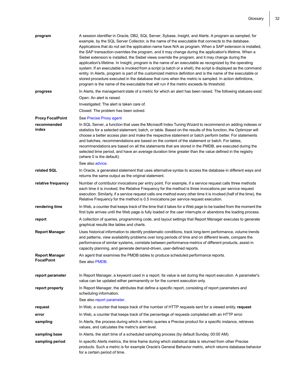| program                                    | A session identifier in Oracle, DB2, SQL Server, Sybase, Insight, and Alerts. A program as sampled, for<br>example, by the SQL Server Collector, is the name of the executable that connects to the database.<br>Applications that do not set the application name have N/A as program. When a SAP extension is installed,<br>the SAP transaction overrides the program, and it may change during the application's lifetime. When a<br>Siebel extension is installed, the Siebel views override the program, and it may change during the<br>application's lifetime. In Insight, program is the name of an executable as recognized by the operating<br>system. If an executable is invoked from a script (a batch or a shell), the script is displayed as the command<br>entity. In Alerts, program is part of the customized metrics definition and is the name of the executable or<br>stored procedure executed in the database that runs when the metric is sampled. In action definitions,<br>program is the name of the executable that will run if the metric exceeds its threshold. |
|--------------------------------------------|-----------------------------------------------------------------------------------------------------------------------------------------------------------------------------------------------------------------------------------------------------------------------------------------------------------------------------------------------------------------------------------------------------------------------------------------------------------------------------------------------------------------------------------------------------------------------------------------------------------------------------------------------------------------------------------------------------------------------------------------------------------------------------------------------------------------------------------------------------------------------------------------------------------------------------------------------------------------------------------------------------------------------------------------------------------------------------------------------|
| progress                                   | In Alerts, the management state of a metric for which an alert has been raised. The following statuses exist:                                                                                                                                                                                                                                                                                                                                                                                                                                                                                                                                                                                                                                                                                                                                                                                                                                                                                                                                                                                 |
|                                            | Open: An alert is raised.                                                                                                                                                                                                                                                                                                                                                                                                                                                                                                                                                                                                                                                                                                                                                                                                                                                                                                                                                                                                                                                                     |
|                                            | Investigated: The alert is taken care of.                                                                                                                                                                                                                                                                                                                                                                                                                                                                                                                                                                                                                                                                                                                                                                                                                                                                                                                                                                                                                                                     |
|                                            | Closed: The problem has been solved.                                                                                                                                                                                                                                                                                                                                                                                                                                                                                                                                                                                                                                                                                                                                                                                                                                                                                                                                                                                                                                                          |
| <b>Proxy FocalPoint</b>                    | See Precise Proxy agent                                                                                                                                                                                                                                                                                                                                                                                                                                                                                                                                                                                                                                                                                                                                                                                                                                                                                                                                                                                                                                                                       |
| recommended<br>index                       | In SQL Server, a function that uses the Microsoft Index Tuning Wizard to recommend on adding indexes or<br>statistics for a selected statement, batch, or table. Based on the results of this function, the Optimizer will<br>choose a better access plan and make the respective statement or batch perform better. For statements<br>and batches, recommendations are based on the content of the statement or batch. For tables,<br>recommendations are based on all the statements that are stored in the PMDB, are executed during the<br>selected time period, and have an average duration time greater than the value defined in the registry<br>(where 0 is the default).                                                                                                                                                                                                                                                                                                                                                                                                            |
|                                            | See also advice.                                                                                                                                                                                                                                                                                                                                                                                                                                                                                                                                                                                                                                                                                                                                                                                                                                                                                                                                                                                                                                                                              |
| related SQL                                | In Oracle, a generated statement that uses alternative syntax to access the database in different ways and<br>returns the same output as the original statement.                                                                                                                                                                                                                                                                                                                                                                                                                                                                                                                                                                                                                                                                                                                                                                                                                                                                                                                              |
| relative frequency                         | Number of contributor invocations per entry point. For example, if a service request calls three methods<br>each time it is invoked, the Relative Frequency for the method is three invocations per service request<br>execution. Similarly, if a service request calls one method every other time it is invoked (half of the time), the<br>Relative Frequency for the method is 0.5 invocations per service request execution.                                                                                                                                                                                                                                                                                                                                                                                                                                                                                                                                                                                                                                                              |
| rendering time                             | In Web, a counter that keeps track of the time that it takes for a Web page to be loaded from the moment the<br>first byte arrives until the Web page is fully loaded or the user interrupts or abandons the loading process.                                                                                                                                                                                                                                                                                                                                                                                                                                                                                                                                                                                                                                                                                                                                                                                                                                                                 |
| report                                     | A collection of queries, programming code, and layout settings that Report Manager executes to generate<br>graphical results like tables and charts.                                                                                                                                                                                                                                                                                                                                                                                                                                                                                                                                                                                                                                                                                                                                                                                                                                                                                                                                          |
| <b>Report Manager</b>                      | Uses historical information to identify problematic conditions, track long-term performance, volume trends<br>and patterns, view availability problems over long periods of time and on different levels, compare the<br>performance of similar systems, correlate between performance metrics of different products, assist in<br>capacity planning, and generate demand-driven, user-defined reports.                                                                                                                                                                                                                                                                                                                                                                                                                                                                                                                                                                                                                                                                                       |
| <b>Report Manager</b><br><b>FocalPoint</b> | An agent that examines the PMDB tables to produce scheduled performance reports.<br>See also PMDB.                                                                                                                                                                                                                                                                                                                                                                                                                                                                                                                                                                                                                                                                                                                                                                                                                                                                                                                                                                                            |
| report parameter                           | In Report Manager, a keyword used in a report. Its value is set during the report execution. A parameter's<br>value can be updated either permanently or for the current execution only.                                                                                                                                                                                                                                                                                                                                                                                                                                                                                                                                                                                                                                                                                                                                                                                                                                                                                                      |
| report property                            | In Report Manager, the attributes that define a specific report, consisting of report parameters and<br>scheduling information.                                                                                                                                                                                                                                                                                                                                                                                                                                                                                                                                                                                                                                                                                                                                                                                                                                                                                                                                                               |
|                                            | See also report parameter                                                                                                                                                                                                                                                                                                                                                                                                                                                                                                                                                                                                                                                                                                                                                                                                                                                                                                                                                                                                                                                                     |
| request                                    | In Web, a counter that keeps track of the number of HTTP requests sent for a viewed entity. request                                                                                                                                                                                                                                                                                                                                                                                                                                                                                                                                                                                                                                                                                                                                                                                                                                                                                                                                                                                           |
| error                                      | In Web, a counter that keeps track of the percentage of requests completed with an HTTP error.                                                                                                                                                                                                                                                                                                                                                                                                                                                                                                                                                                                                                                                                                                                                                                                                                                                                                                                                                                                                |
| sampling                                   | In Alerts, the process during which a metric queries a Precise product for a specific instance, retrieves<br>values, and calculates the metric's alert level.                                                                                                                                                                                                                                                                                                                                                                                                                                                                                                                                                                                                                                                                                                                                                                                                                                                                                                                                 |
| sampling base                              | In Alerts, the start time of a scheduled sampling process (by default Sunday, 00:00 AM).                                                                                                                                                                                                                                                                                                                                                                                                                                                                                                                                                                                                                                                                                                                                                                                                                                                                                                                                                                                                      |
| sampling period                            | In specific Alerts metrics, the time frame during which statistical data is returned from other Precise<br>products. Such a metric is for example Oracle's General Behavior metric, which returns database behavior<br>for a certain period of time.                                                                                                                                                                                                                                                                                                                                                                                                                                                                                                                                                                                                                                                                                                                                                                                                                                          |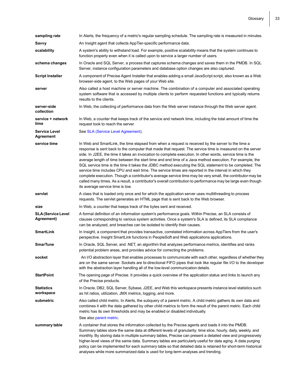| sampling rate                            | In Alerts, the frequency of a metric's regular sampling schedule. The sampling rate is measured in minutes.                                                                                                                                                                                                                                                                                                                                                                                                                                                                                                                                                                                                                                                                                                                                                                                                                |
|------------------------------------------|----------------------------------------------------------------------------------------------------------------------------------------------------------------------------------------------------------------------------------------------------------------------------------------------------------------------------------------------------------------------------------------------------------------------------------------------------------------------------------------------------------------------------------------------------------------------------------------------------------------------------------------------------------------------------------------------------------------------------------------------------------------------------------------------------------------------------------------------------------------------------------------------------------------------------|
| Savvy                                    | An Insight agent that collects AppTier-specific performance data.                                                                                                                                                                                                                                                                                                                                                                                                                                                                                                                                                                                                                                                                                                                                                                                                                                                          |
| scalability                              | A system's ability to withstand load. For example, positive scalability means that the system continues to<br>function properly even when it is called upon to service a larger number of users.                                                                                                                                                                                                                                                                                                                                                                                                                                                                                                                                                                                                                                                                                                                           |
| schema changes                           | In Oracle and SQL Server, a process that captures schema changes and saves them in the PMDB. In SQL<br>Server, instance configuration parameters and database option changes are also captured.                                                                                                                                                                                                                                                                                                                                                                                                                                                                                                                                                                                                                                                                                                                            |
| <b>Script Installer</b>                  | A component of Precise Agent Installer that enables adding a small JavaScript script, also known as a Web<br>browser-side agent, to the Web pages of your Web site.                                                                                                                                                                                                                                                                                                                                                                                                                                                                                                                                                                                                                                                                                                                                                        |
| server                                   | Also called a host machine or server machine. The combination of a computer and associated operating<br>system software that is accessed by multiple clients to perform requested functions and typically returns<br>results to the clients.                                                                                                                                                                                                                                                                                                                                                                                                                                                                                                                                                                                                                                                                               |
| server-side<br>collection                | In Web, the collecting of performance data from the Web server instance through the Web server agent.                                                                                                                                                                                                                                                                                                                                                                                                                                                                                                                                                                                                                                                                                                                                                                                                                      |
| service + network<br>time                | In Web, a counter that keeps track of the service and network time, including the total amount of time the<br>request took to reach the server.                                                                                                                                                                                                                                                                                                                                                                                                                                                                                                                                                                                                                                                                                                                                                                            |
| <b>Service Level</b><br><b>Agreement</b> | See SLA (Service Level Agreement).                                                                                                                                                                                                                                                                                                                                                                                                                                                                                                                                                                                                                                                                                                                                                                                                                                                                                         |
| service time                             | In Web and SmartLink, the time elapsed from when a request is received by the server to the time a<br>response is sent back to the computer that made that request. The service time is measured on the server<br>side. In J2EE, the time it takes an invocation to complete execution. In other words, service time is the<br>average length of time between the start time and end time of a Java method execution. For example, the<br>SQL service time is the time it takes the JDBC method executing the SQL statement to be completed. The<br>service time includes CPU and wait time. The service times are reported in the interval in which they<br>complete execution. Though a contributor's average service time may be very small, the contributor may be<br>called many times. As a result, a contributor's overall contribution to performance may be large even though<br>its average service time is low. |
| servlet                                  | A class that is loaded only once and for which the application server uses multithreading to process<br>requests. The servlet generates an HTML page that is sent back to the Web browser.                                                                                                                                                                                                                                                                                                                                                                                                                                                                                                                                                                                                                                                                                                                                 |
| size                                     | In Web, a counter that keeps track of the bytes sent and received.                                                                                                                                                                                                                                                                                                                                                                                                                                                                                                                                                                                                                                                                                                                                                                                                                                                         |
| <b>SLA (Service Level</b><br>Agreement)  | A formal definition of an information system's performance goals. Within Precise, an SLA consists of<br>clauses corresponding to various system activities. Once a system's SLA is defined, its SLA compliance<br>can be analyzed, and breaches can be isolated to identify their causes.                                                                                                                                                                                                                                                                                                                                                                                                                                                                                                                                                                                                                                  |
| <b>SmartLink</b>                         | In Insight, a component that provides transactive, correlated information across AppTiers from the user's<br>perspective. Insight SmartLink functions in PeopleSoft and Web applications applications.                                                                                                                                                                                                                                                                                                                                                                                                                                                                                                                                                                                                                                                                                                                     |
| <b>SmarTune</b>                          | In Oracle, SQL Server, and .NET, an algorithm that analyzes performance metrics, identifies and ranks<br>potential problem areas, and provides advice for correcting the problems.                                                                                                                                                                                                                                                                                                                                                                                                                                                                                                                                                                                                                                                                                                                                         |
| socket                                   | An I/O abstraction layer that enables processes to communicate with each other, regardless of whether they<br>are on the same server. Sockets are bi-directional FIFO pipes that look like regular file I/O to the developer<br>with the abstraction layer handling all of the low-level communication details.                                                                                                                                                                                                                                                                                                                                                                                                                                                                                                                                                                                                            |
| <b>StartPoint</b>                        | The opening page of Precise. It provides a quick overview of the application status and links to launch any<br>of the Precise products.                                                                                                                                                                                                                                                                                                                                                                                                                                                                                                                                                                                                                                                                                                                                                                                    |
| <b>Statistics</b><br>workspace           | In Oracle, DB2, SQL Server, Sybase, J2EE, and Web this workspace presents instance level statistics such<br>as hit ratios, utilization, JMX metrics, logging, and more.                                                                                                                                                                                                                                                                                                                                                                                                                                                                                                                                                                                                                                                                                                                                                    |
| submetric                                | Also called child metric. In Alerts, the subguery of a parent metric. A child metric gathers its own data and<br>combines it with the data gathered by other child metrics to form the result of the parent metric. Each child<br>metric has its own thresholds and may be enabled or disabled individually.<br>See also parent metric.                                                                                                                                                                                                                                                                                                                                                                                                                                                                                                                                                                                    |
| summary table                            | A container that stores the information collected by the Precise agents and loads it into the PMDB.<br>Summary tables store the same data at different levels of granularity: time slice, hourly, daily, weekly, and<br>monthly. By storing data in multiple summary tables, Precise can present a detailed view and progressively<br>higher-level views of the same data. Summary tables are particularly useful for data aging. A data purging<br>policy can be implemented for each summary table so that detailed data is retained for short-term historical<br>analyses while more summarized data is used for long-term analyses and trending.                                                                                                                                                                                                                                                                       |